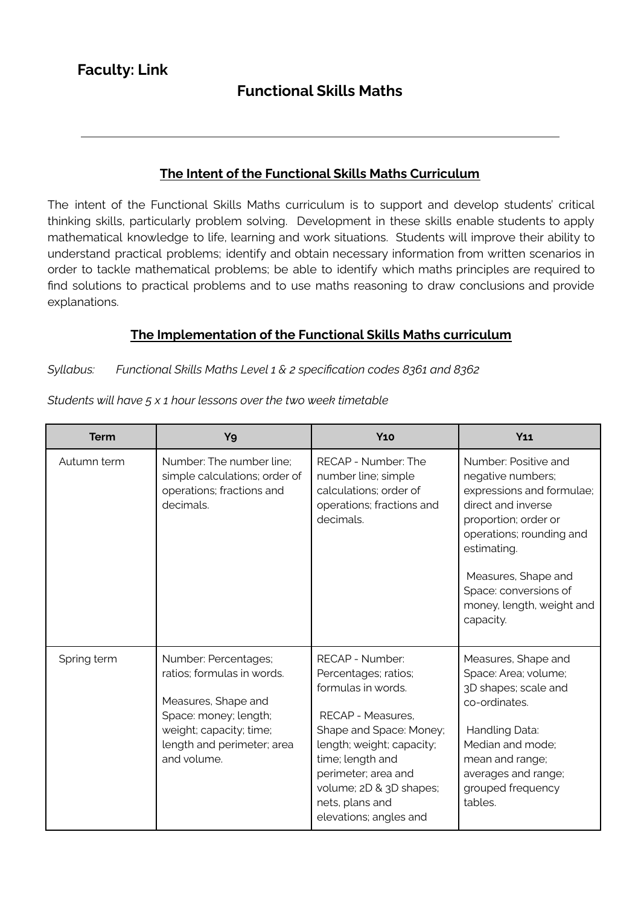# **Functional Skills Maths**

### **The Intent of the Functional Skills Maths Curriculum**

The intent of the Functional Skills Maths curriculum is to support and develop students' critical thinking skills, particularly problem solving. Development in these skills enable students to apply mathematical knowledge to life, learning and work situations. Students will improve their ability to understand practical problems; identify and obtain necessary information from written scenarios in order to tackle mathematical problems; be able to identify which maths principles are required to find solutions to practical problems and to use maths reasoning to draw conclusions and provide explanations.

# **The Implementation of the Functional Skills Maths curriculum**

#### *Syllabus: Functional Skills Maths Level 1 & 2 specification codes 8361 and 8362*

| <b>Term</b> | Y9                                                                                                                                                                         | <b>Y10</b>                                                                                                                                                                                                                                                    | $Y_11$                                                                                                                                                                                                                                                    |
|-------------|----------------------------------------------------------------------------------------------------------------------------------------------------------------------------|---------------------------------------------------------------------------------------------------------------------------------------------------------------------------------------------------------------------------------------------------------------|-----------------------------------------------------------------------------------------------------------------------------------------------------------------------------------------------------------------------------------------------------------|
| Autumn term | Number: The number line;<br>simple calculations; order of<br>operations; fractions and<br>decimals.                                                                        | RECAP - Number: The<br>number line; simple<br>calculations; order of<br>operations; fractions and<br>decimals.                                                                                                                                                | Number: Positive and<br>negative numbers;<br>expressions and formulae;<br>direct and inverse<br>proportion; order or<br>operations; rounding and<br>estimating.<br>Measures, Shape and<br>Space: conversions of<br>money, length, weight and<br>capacity. |
| Spring term | Number: Percentages;<br>ratios; formulas in words.<br>Measures, Shape and<br>Space: money; length;<br>weight; capacity; time;<br>length and perimeter; area<br>and volume. | RECAP - Number:<br>Percentages; ratios;<br>formulas in words.<br>RECAP - Measures,<br>Shape and Space: Money;<br>length; weight; capacity;<br>time; length and<br>perimeter; area and<br>volume; 2D & 3D shapes;<br>nets, plans and<br>elevations; angles and | Measures, Shape and<br>Space: Area; volume;<br>3D shapes; scale and<br>co-ordinates.<br>Handling Data:<br>Median and mode;<br>mean and range;<br>averages and range;<br>grouped frequency<br>tables.                                                      |

*Students will have 5 x 1 hour lessons over the two week timetable*